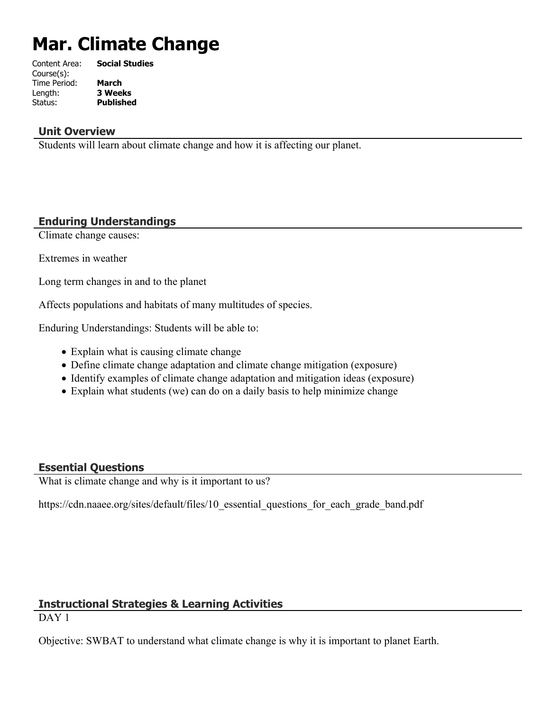# **Mar. Climate Change**

| Content Area: | <b>Social Studies</b> |
|---------------|-----------------------|
| Course(s):    |                       |
| Time Period:  | March                 |
| Length:       | <b>3 Weeks</b>        |
| Status:       | <b>Published</b>      |
|               |                       |

## **Unit Overview**

Students will learn about climate change and how it is affecting our planet.

# **Enduring Understandings**

Climate change causes:

Extremes in weather

Long term changes in and to the planet

Affects populations and habitats of many multitudes of species.

Enduring Understandings: Students will be able to:

- Explain what is causing climate change
- Define climate change adaptation and climate change mitigation (exposure)
- Identify examples of climate change adaptation and mitigation ideas (exposure)
- Explain what students (we) can do on a daily basis to help minimize change

# **Essential Questions**

What is climate change and why is it important to us?

https://cdn.naaee.org/sites/default/files/10 essential questions for each grade band.pdf

# **Instructional Strategies & Learning Activities**

DAY<sub>1</sub>

Objective: SWBAT to understand what climate change is why it is important to planet Earth.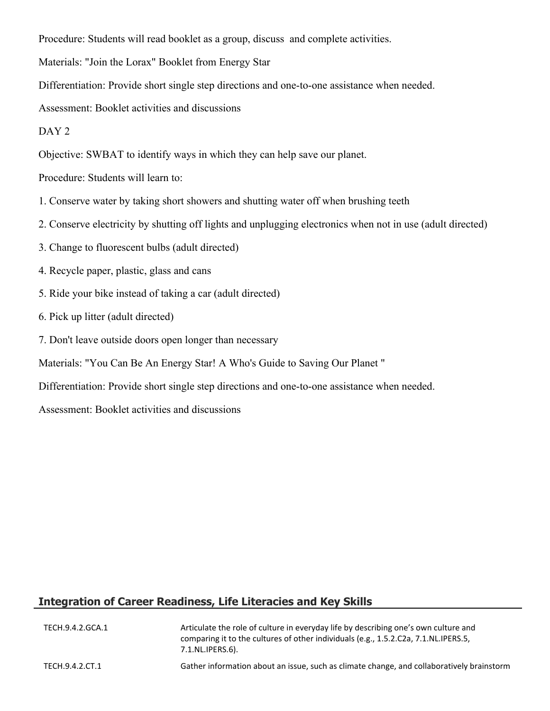Procedure: Students will read booklet as a group, discuss and complete activities.

Materials: "Join the Lorax" Booklet from Energy Star

Differentiation: Provide short single step directions and one-to-one assistance when needed.

Assessment: Booklet activities and discussions

#### DAY<sub>2</sub>

Objective: SWBAT to identify ways in which they can help save our planet.

Procedure: Students will learn to:

- 1. Conserve water by taking short showers and shutting water off when brushing teeth
- 2. Conserve electricity by shutting off lights and unplugging electronics when not in use (adult directed)
- 3. Change to fluorescent bulbs (adult directed)
- 4. Recycle paper, plastic, glass and cans
- 5. Ride your bike instead of taking a car (adult directed)
- 6. Pick up litter (adult directed)
- 7. Don't leave outside doors open longer than necessary
- Materials: "You Can Be An Energy Star! A Who's Guide to Saving Our Planet "

Differentiation: Provide short single step directions and one-to-one assistance when needed.

Assessment: Booklet activities and discussions

# **Integration of Career Readiness, Life Literacies and Key Skills**

| TECH.9.4.2.GCA.1 | Articulate the role of culture in everyday life by describing one's own culture and<br>comparing it to the cultures of other individuals (e.g., 1.5.2.C2a, 7.1.NL.IPERS.5,<br>7.1.NL.IPERS.6). |
|------------------|------------------------------------------------------------------------------------------------------------------------------------------------------------------------------------------------|
| TECH.9.4.2.CT.1  | Gather information about an issue, such as climate change, and collaboratively brainstorm                                                                                                      |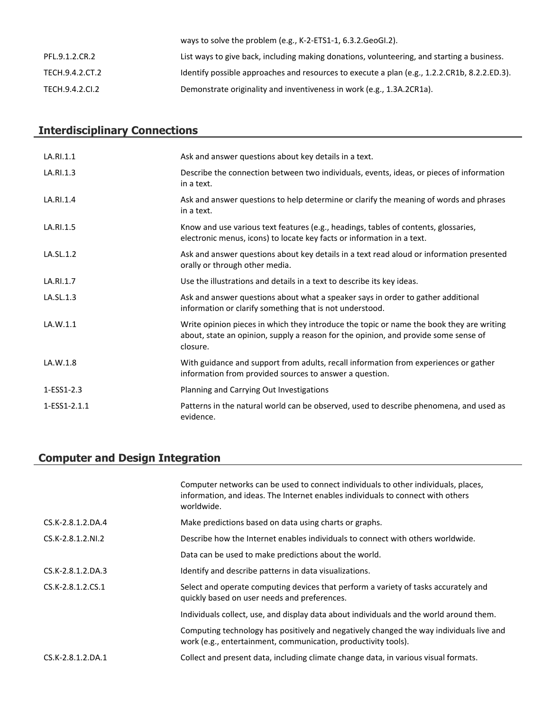|                 | ways to solve the problem (e.g., K-2-ETS1-1, $6.3.2.$ GeoGl.2).                              |
|-----------------|----------------------------------------------------------------------------------------------|
| PFL.9.1.2.CR.2  | List ways to give back, including making donations, volunteering, and starting a business.   |
| TECH.9.4.2.CT.2 | Identify possible approaches and resources to execute a plan (e.g., 1.2.2.CR1b, 8.2.2.ED.3). |
| TECH.9.4.2.CI.2 | Demonstrate originality and inventiveness in work (e.g., 1.3A.2CR1a).                        |

# **Interdisciplinary Connections**

| LA.RI.1.1    | Ask and answer questions about key details in a text.                                                                                                                                       |
|--------------|---------------------------------------------------------------------------------------------------------------------------------------------------------------------------------------------|
| LA.RI.1.3    | Describe the connection between two individuals, events, ideas, or pieces of information<br>in a text.                                                                                      |
| LA.RI.1.4    | Ask and answer questions to help determine or clarify the meaning of words and phrases<br>in a text.                                                                                        |
| LA.RI.1.5    | Know and use various text features (e.g., headings, tables of contents, glossaries,<br>electronic menus, icons) to locate key facts or information in a text.                               |
| LA.SL.1.2    | Ask and answer questions about key details in a text read aloud or information presented<br>orally or through other media.                                                                  |
| LA.RI.1.7    | Use the illustrations and details in a text to describe its key ideas.                                                                                                                      |
| LA.SL.1.3    | Ask and answer questions about what a speaker says in order to gather additional<br>information or clarify something that is not understood.                                                |
| LA.W.1.1     | Write opinion pieces in which they introduce the topic or name the book they are writing<br>about, state an opinion, supply a reason for the opinion, and provide some sense of<br>closure. |
| LA.W.1.8     | With guidance and support from adults, recall information from experiences or gather<br>information from provided sources to answer a question.                                             |
| 1-ESS1-2.3   | Planning and Carrying Out Investigations                                                                                                                                                    |
| 1-ESS1-2.1.1 | Patterns in the natural world can be observed, used to describe phenomena, and used as<br>evidence.                                                                                         |

# **Computer and Design Integration**

|                   | Computer networks can be used to connect individuals to other individuals, places,<br>information, and ideas. The Internet enables individuals to connect with others<br>worldwide. |
|-------------------|-------------------------------------------------------------------------------------------------------------------------------------------------------------------------------------|
| CS.K-2.8.1.2.DA.4 | Make predictions based on data using charts or graphs.                                                                                                                              |
| CS.K-2.8.1.2.NI.2 | Describe how the Internet enables individuals to connect with others worldwide.                                                                                                     |
|                   | Data can be used to make predictions about the world.                                                                                                                               |
| CS.K-2.8.1.2.DA.3 | Identify and describe patterns in data visualizations.                                                                                                                              |
| CS.K-2.8.1.2.CS.1 | Select and operate computing devices that perform a variety of tasks accurately and<br>quickly based on user needs and preferences.                                                 |
|                   | Individuals collect, use, and display data about individuals and the world around them.                                                                                             |
|                   | Computing technology has positively and negatively changed the way individuals live and<br>work (e.g., entertainment, communication, productivity tools).                           |
| CS.K-2.8.1.2.DA.1 | Collect and present data, including climate change data, in various visual formats.                                                                                                 |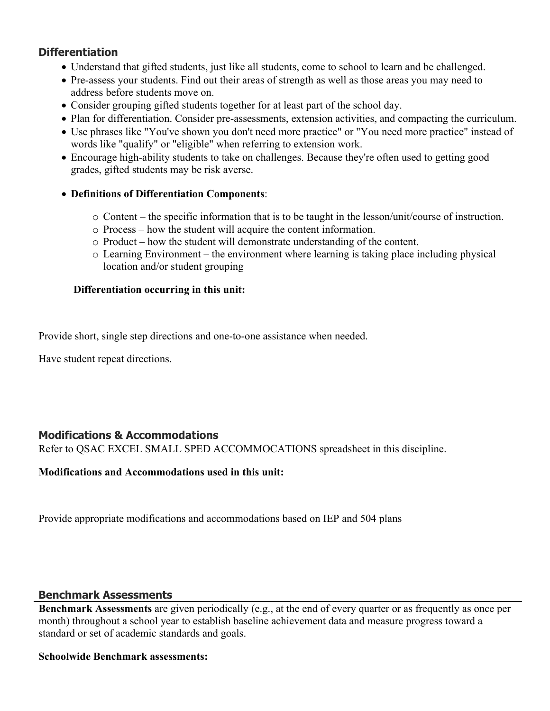## **Differentiation**

- Understand that gifted students, just like all students, come to school to learn and be challenged.
- Pre-assess your students. Find out their areas of strength as well as those areas you may need to address before students move on.
- Consider grouping gifted students together for at least part of the school day.
- Plan for differentiation. Consider pre-assessments, extension activities, and compacting the curriculum.
- Use phrases like "You've shown you don't need more practice" or "You need more practice" instead of words like "qualify" or "eligible" when referring to extension work.
- Encourage high-ability students to take on challenges. Because they're often used to getting good grades, gifted students may be risk averse.
- **Definitions of Differentiation Components**:
	- o Content the specific information that is to be taught in the lesson/unit/course of instruction.
	- o Process how the student will acquire the content information.
	- o Product how the student will demonstrate understanding of the content.
	- o Learning Environment the environment where learning is taking place including physical location and/or student grouping

## **Differentiation occurring in this unit:**

Provide short, single step directions and one-to-one assistance when needed.

Have student repeat directions.

# **Modifications & Accommodations**

Refer to QSAC EXCEL SMALL SPED ACCOMMOCATIONS spreadsheet in this discipline.

# **Modifications and Accommodations used in this unit:**

Provide appropriate modifications and accommodations based on IEP and 504 plans

#### **Benchmark Assessments**

**Benchmark Assessments** are given periodically (e.g., at the end of every quarter or as frequently as once per month) throughout a school year to establish baseline achievement data and measure progress toward a standard or set of academic standards and goals.

#### **Schoolwide Benchmark assessments:**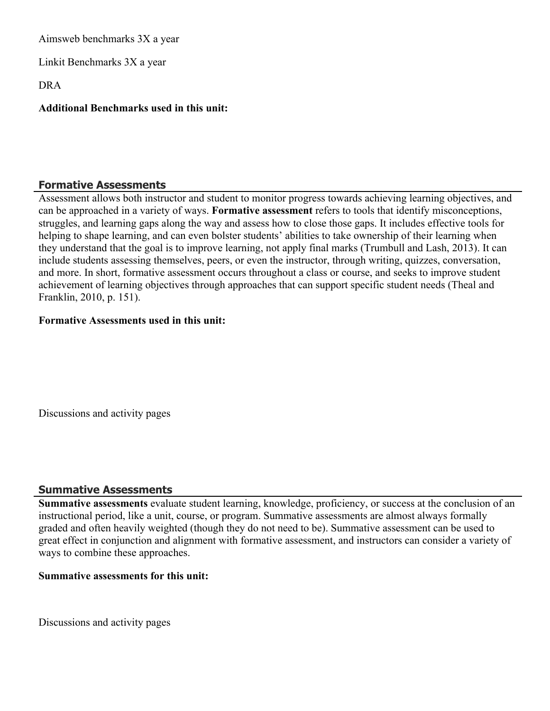Aimsweb benchmarks 3X a year

Linkit Benchmarks 3X a year

DRA

## **Additional Benchmarks used in this unit:**

#### **Formative Assessments**

Assessment allows both instructor and student to monitor progress towards achieving learning objectives, and can be approached in a variety of ways. **Formative assessment** refers to tools that identify misconceptions, struggles, and learning gaps along the way and assess how to close those gaps. It includes effective tools for helping to shape learning, and can even bolster students' abilities to take ownership of their learning when they understand that the goal is to improve learning, not apply final marks (Trumbull and Lash, 2013). It can include students assessing themselves, peers, or even the instructor, through writing, quizzes, conversation, and more. In short, formative assessment occurs throughout a class or course, and seeks to improve student achievement of learning objectives through approaches that can support specific student needs (Theal and Franklin, 2010, p. 151).

#### **Formative Assessments used in this unit:**

Discussions and activity pages

#### **Summative Assessments**

**Summative assessments** evaluate student learning, knowledge, proficiency, or success at the conclusion of an instructional period, like a unit, course, or program. Summative assessments are almost always formally graded and often heavily weighted (though they do not need to be). Summative assessment can be used to great effect in conjunction and alignment with formative assessment, and instructors can consider a variety of ways to combine these approaches.

#### **Summative assessments for this unit:**

Discussions and activity pages